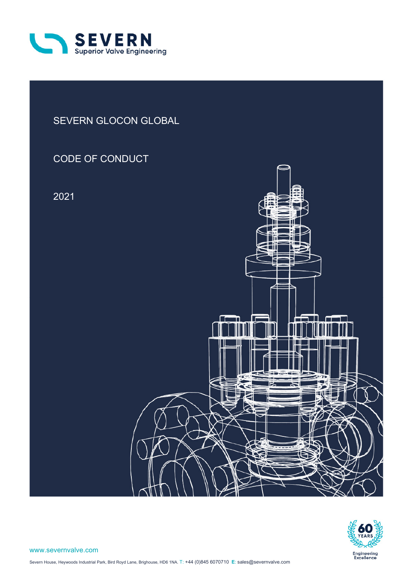

# SEVERN GLOCON GLOBAL

# CODE OF CONDUCT

2021



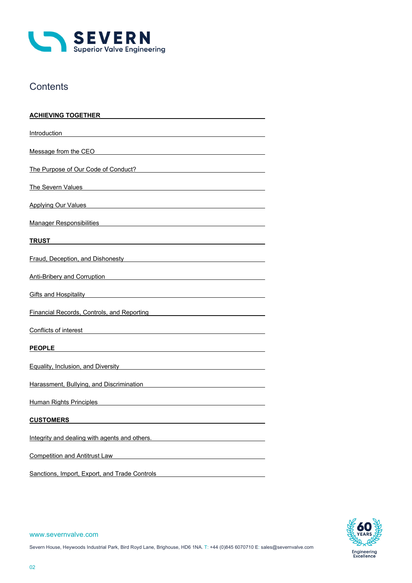

# **Contents**

| <u>ACHIEVING TOGETHER</u>                                                                                                                                                                                                            |
|--------------------------------------------------------------------------------------------------------------------------------------------------------------------------------------------------------------------------------------|
| Introduction                                                                                                                                                                                                                         |
| Message from the CEO                                                                                                                                                                                                                 |
| The Purpose of Our Code of Conduct?                                                                                                                                                                                                  |
| The Severn Values                                                                                                                                                                                                                    |
| Applying Our Values <b>Applying Our Values Applying Our Values</b>                                                                                                                                                                   |
| Manager Responsibilities and the control of the control of the control of the control of the control of the control of the control of the control of the control of the control of the control of the control of the control o       |
| TRUST                                                                                                                                                                                                                                |
| Fraud, Deception, and Dishonesty <b>Example 2018</b>                                                                                                                                                                                 |
| Anti-Bribery and Corruption <b>Community</b> and Corruption                                                                                                                                                                          |
|                                                                                                                                                                                                                                      |
| <b>Financial Records, Controls, and Reporting Control Control Control Control Control Control Control Control Control Control Control Control Control Control Control Control Control Control Control Control Control Control Co</b> |
| Conflicts of interest entertainment of the contract of the contract of the contract of the contract of the contract of the contract of the contract of the contract of the contract of the contract of the contract of the con       |
| <b>PEOPLE</b>                                                                                                                                                                                                                        |
| <b>Equality, Inclusion, and Diversity Contract Control Control Control Control Control Control Control Control Co</b>                                                                                                                |
| Harassment, Bullying, and Discrimination                                                                                                                                                                                             |
| <b>Human Rights Principles</b>                                                                                                                                                                                                       |
| <b>CUSTOMERS</b>                                                                                                                                                                                                                     |
| Integrity and dealing with agents and others.                                                                                                                                                                                        |
| <b>Competition and Antitrust Law</b>                                                                                                                                                                                                 |
| Sanctions, Import, Export, and Trade Controls                                                                                                                                                                                        |



#### www.severnvalve.com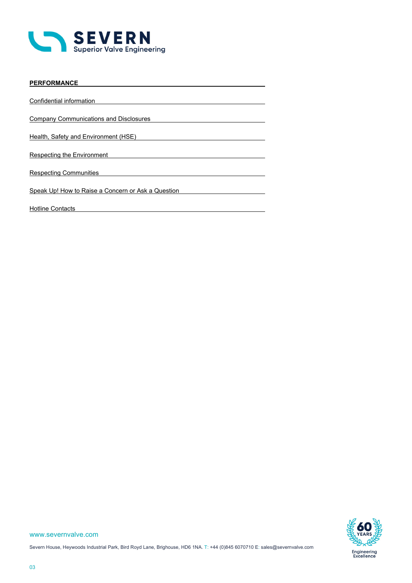

| <b>PERFORMANCE</b>                                 |
|----------------------------------------------------|
|                                                    |
| Confidential information                           |
|                                                    |
| <b>Company Communications and Disclosures</b>      |
|                                                    |
| Health, Safety and Environment (HSE)               |
|                                                    |
| <b>Respecting the Environment</b>                  |
|                                                    |
| <b>Respecting Communities</b>                      |
|                                                    |
| Speak Up! How to Raise a Concern or Ask a Question |
|                                                    |
| <b>Hotline Contacts</b>                            |

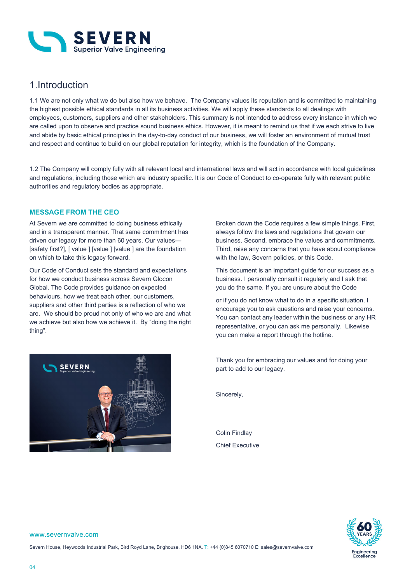

# 1.Introduction

1.1 We are not only what we do but also how we behave. The Company values its reputation and is committed to maintaining the highest possible ethical standards in all its business activities. We will apply these standards to all dealings with employees, customers, suppliers and other stakeholders. This summary is not intended to address every instance in which we are called upon to observe and practice sound business ethics. However, it is meant to remind us that if we each strive to live and abide by basic ethical principles in the day-to-day conduct of our business, we will foster an environment of mutual trust and respect and continue to build on our global reputation for integrity, which is the foundation of the Company.

1.2 The Company will comply fully with all relevant local and international laws and will act in accordance with local guidelines and regulations, including those which are industry specific. It is our Code of Conduct to co-operate fully with relevant public authorities and regulatory bodies as appropriate.

### **MESSAGE FROM THE CEO**

At Severn we are committed to doing business ethically and in a transparent manner. That same commitment has driven our legacy for more than 60 years. Our values— [safety first?], [ value ] [value ] [value ] are the foundation on which to take this legacy forward.

Our Code of Conduct sets the standard and expectations for how we conduct business across Severn Glocon Global. The Code provides guidance on expected behaviours, how we treat each other, our customers, suppliers and other third parties is a reflection of who we are. We should be proud not only of who we are and what we achieve but also how we achieve it. By "doing the right thing".



Broken down the Code requires a few simple things. First, always follow the laws and regulations that govern our business. Second, embrace the values and commitments. Third, raise any concerns that you have about compliance with the law, Severn policies, or this Code.

This document is an important guide for our success as a business. I personally consult it regularly and I ask that you do the same. If you are unsure about the Code

or if you do not know what to do in a specific situation, I encourage you to ask questions and raise your concerns. You can contact any leader within the business or any HR representative, or you can ask me personally. Likewise you can make a report through the hotline.

Thank you for embracing our values and for doing your part to add to our legacy.

Sincerely,

Colin Findlay Chief Executive



#### www.severnvalve.com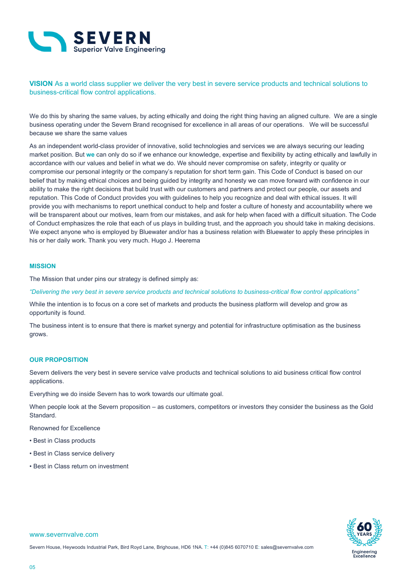

**VISION** As a world class supplier we deliver the very best in severe service products and technical solutions to business-critical flow control applications.

We do this by sharing the same values, by acting ethically and doing the right thing having an aligned culture. We are a single business operating under the Severn Brand recognised for excellence in all areas of our operations. We will be successful because we share the same values

As an independent world-class provider of innovative, solid technologies and services we are always securing our leading market position. But **we** can only do so if we enhance our knowledge, expertise and flexibility by acting ethically and lawfully in accordance with our values and belief in what we do. We should never compromise on safety, integrity or quality or compromise our personal integrity or the company's reputation for short term gain. This Code of Conduct is based on our belief that by making ethical choices and being guided by integrity and honesty we can move forward with confidence in our ability to make the right decisions that build trust with our customers and partners and protect our people, our assets and reputation. This Code of Conduct provides you with guidelines to help you recognize and deal with ethical issues. It will provide you with mechanisms to report unethical conduct to help and foster a culture of honesty and accountability where we will be transparent about our motives, learn from our mistakes, and ask for help when faced with a difficult situation. The Code of Conduct emphasizes the role that each of us plays in building trust, and the approach you should take in making decisions. We expect anyone who is employed by Bluewater and/or has a business relation with Bluewater to apply these principles in his or her daily work. Thank you very much. Hugo J. Heerema

#### **MISSION**

The Mission that under pins our strategy is defined simply as:

*"Delivering the very best in severe service products and technical solutions to business-critical flow control applications"* 

While the intention is to focus on a core set of markets and products the business platform will develop and grow as opportunity is found.

The business intent is to ensure that there is market synergy and potential for infrastructure optimisation as the business grows.

### **OUR PROPOSITION**

Severn delivers the very best in severe service valve products and technical solutions to aid business critical flow control applications.

Everything we do inside Severn has to work towards our ultimate goal.

When people look at the Severn proposition – as customers, competitors or investors they consider the business as the Gold Standard.

Renowned for Excellence

- Best in Class products
- Best in Class service delivery
- Best in Class return on investment



#### www.severnvalve.com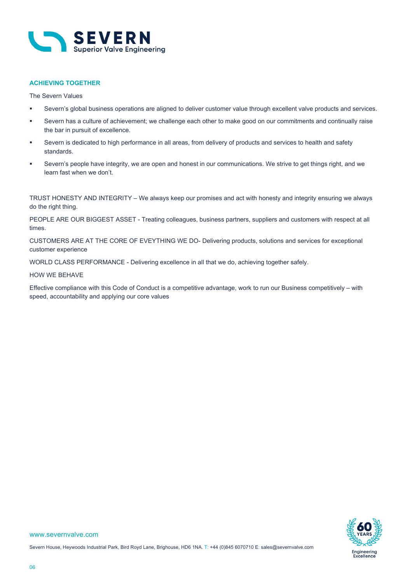

### **ACHIEVING TOGETHER**

The Severn Values

- Severn's global business operations are aligned to deliver customer value through excellent valve products and services.
- Severn has a culture of achievement; we challenge each other to make good on our commitments and continually raise the bar in pursuit of excellence.
- Severn is dedicated to high performance in all areas, from delivery of products and services to health and safety standards.
- Severn's people have integrity, we are open and honest in our communications. We strive to get things right, and we learn fast when we don't.

TRUST HONESTY AND INTEGRITY – We always keep our promises and act with honesty and integrity ensuring we always do the right thing.

PEOPLE ARE OUR BIGGEST ASSET - Treating colleagues, business partners, suppliers and customers with respect at all times.

CUSTOMERS ARE AT THE CORE OF EVEYTHING WE DO- Delivering products, solutions and services for exceptional customer experience

WORLD CLASS PERFORMANCE - Delivering excellence in all that we do, achieving together safely.

#### HOW WE BEHAVE

Effective compliance with this Code of Conduct is a competitive advantage, work to run our Business competitively – with speed, accountability and applying our core values

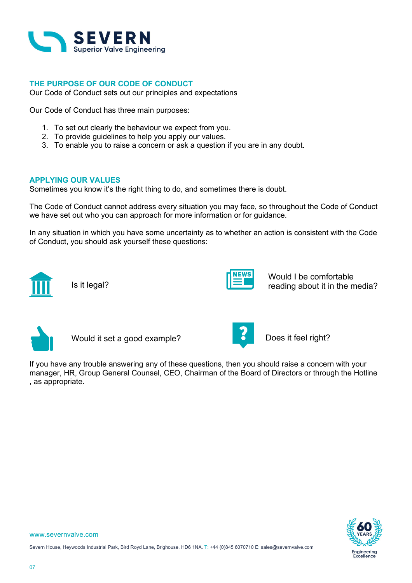

## **THE PURPOSE OF OUR CODE OF CONDUCT**

Our Code of Conduct sets out our principles and expectations

Our Code of Conduct has three main purposes:

- 1. To set out clearly the behaviour we expect from you.
- 2. To provide guidelines to help you apply our values.
- 3. To enable you to raise a concern or ask a question if you are in any doubt.

## **APPLYING OUR VALUES**

Sometimes you know it's the right thing to do, and sometimes there is doubt.

The Code of Conduct cannot address every situation you may face, so throughout the Code of Conduct we have set out who you can approach for more information or for guidance.

In any situation in which you have some uncertainty as to whether an action is consistent with the Code of Conduct, you should ask yourself these questions:



Is it legal?



Would I be comfortable reading about it in the media?



Would it set a good example? **Does it feel right?** 



If you have any trouble answering any of these questions, then you should raise a concern with your manager, HR, Group General Counsel, CEO, Chairman of the Board of Directors or through the Hotline , as appropriate.

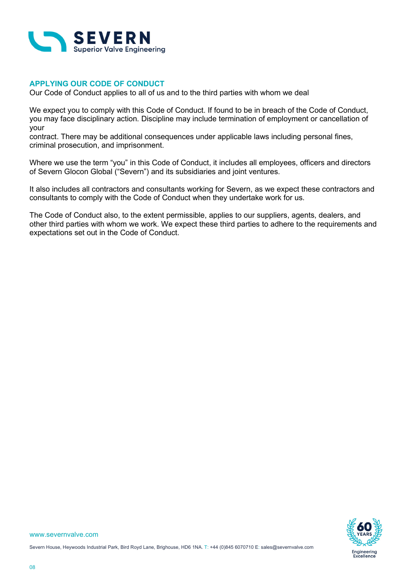

## **APPLYING OUR CODE OF CONDUCT**

Our Code of Conduct applies to all of us and to the third parties with whom we deal

We expect you to comply with this Code of Conduct. If found to be in breach of the Code of Conduct, you may face disciplinary action. Discipline may include termination of employment or cancellation of your

contract. There may be additional consequences under applicable laws including personal fines, criminal prosecution, and imprisonment.

Where we use the term "you" in this Code of Conduct, it includes all employees, officers and directors of Severn Glocon Global ("Severn") and its subsidiaries and joint ventures.

It also includes all contractors and consultants working for Severn, as we expect these contractors and consultants to comply with the Code of Conduct when they undertake work for us.

The Code of Conduct also, to the extent permissible, applies to our suppliers, agents, dealers, and other third parties with whom we work. We expect these third parties to adhere to the requirements and expectations set out in the Code of Conduct.

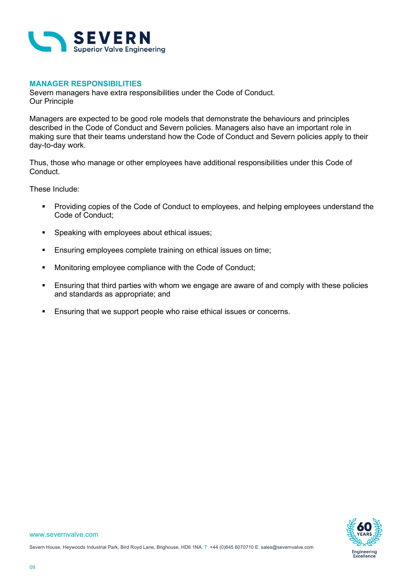

## **MANAGER RESPONSIBILITIES**

Severn managers have extra responsibilities under the Code of Conduct. Our Principle

Managers are expected to be good role models that demonstrate the behaviours and principles described in the Code of Conduct and Severn policies. Managers also have an important role in making sure that their teams understand how the Code of Conduct and Severn policies apply to their day-to-day work.

Thus, those who manage or other employees have additional responsibilities under this Code of Conduct.

These Include:

- **Providing copies of the Code of Conduct to employees, and helping employees understand the** Code of Conduct;
- **Speaking with employees about ethical issues;**
- **Ensuring employees complete training on ethical issues on time;**
- Monitoring employee compliance with the Code of Conduct;
- Ensuring that third parties with whom we engage are aware of and comply with these policies and standards as appropriate; and
- **Ensuring that we support people who raise ethical issues or concerns.**

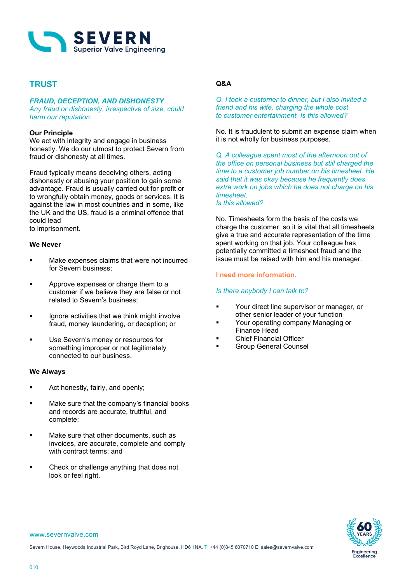

## **TRUST**

### *FRAUD, DECEPTION, AND DISHONESTY*

*Any fraud or dishonesty, irrespective of size, could harm our reputation.*

### **Our Principle**

We act with integrity and engage in business honestly. We do our utmost to protect Severn from fraud or dishonesty at all times.

Fraud typically means deceiving others, acting dishonestly or abusing your position to gain some advantage. Fraud is usually carried out for profit or to wrongfully obtain money, goods or services. It is against the law in most countries and in some, like the UK and the US, fraud is a criminal offence that could lead to imprisonment.

### **We Never**

- Make expenses claims that were not incurred for Severn business;
- Approve expenses or charge them to a customer if we believe they are false or not related to Severn's business;
- **If all interept is under** that we think might involve fraud, money laundering, or deception; or
- Use Severn's money or resources for something improper or not legitimately connected to our business.

### **We Always**

- Act honestly, fairly, and openly;
- **Make sure that the company's financial books** and records are accurate, truthful, and complete;
- Make sure that other documents, such as invoices, are accurate, complete and comply with contract terms; and
- Check or challenge anything that does not look or feel right.

## **Q&A**

*Q. I took a customer to dinner, but I also invited a friend and his wife, charging the whole cost to customer entertainment. Is this allowed?* 

No. It is fraudulent to submit an expense claim when it is not wholly for business purposes.

*Q. A colleague spent most of the afternoon out of the office on personal business but still charged the time to a customer job number on his timesheet. He said that it was okay because he frequently does extra work on jobs which he does not charge on his timesheet. Is this allowed?*

No. Timesheets form the basis of the costs we charge the customer, so it is vital that all timesheets give a true and accurate representation of the time spent working on that job. Your colleague has potentially committed a timesheet fraud and the issue must be raised with him and his manager.

### **I need more information.**

### *Is there anybody I can talk to?*

- Your direct line supervisor or manager, or other senior leader of your function
- Your operating company Managing or Finance Head
- Chief Financial Officer
- Group General Counsel

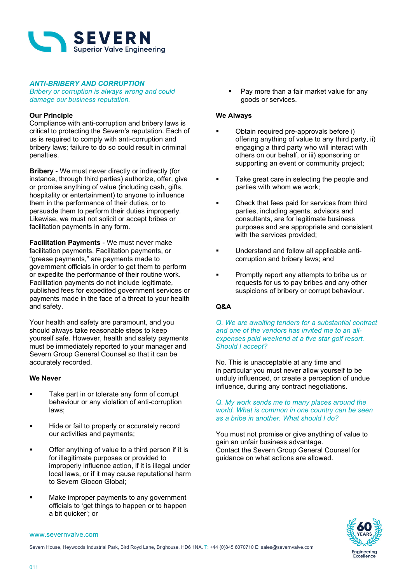

### *ANTI-BRIBERY AND CORRUPTION*

*Bribery or corruption is always wrong and could damage our business reputation.*

### **Our Principle**

Compliance with anti-corruption and bribery laws is critical to protecting the Severn's reputation. Each of us is required to comply with anti-corruption and bribery laws; failure to do so could result in criminal penalties.

**Bribery** - We must never directly or indirectly (for instance, through third parties) authorize, offer, give or promise anything of value (including cash, gifts, hospitality or entertainment) to anyone to influence them in the performance of their duties, or to persuade them to perform their duties improperly. Likewise, we must not solicit or accept bribes or facilitation payments in any form.

**Facilitation Payments** - We must never make facilitation payments. Facilitation payments, or "grease payments," are payments made to government officials in order to get them to perform or expedite the performance of their routine work. Facilitation payments do not include legitimate, published fees for expedited government services or payments made in the face of a threat to your health and safety.

Your health and safety are paramount, and you should always take reasonable steps to keep yourself safe. However, health and safety payments must be immediately reported to your manager and Severn Group General Counsel so that it can be accurately recorded.

### **We Never**

- Take part in or tolerate any form of corrupt behaviour or any violation of anti-corruption laws;
- Hide or fail to properly or accurately record our activities and payments;
- Offer anything of value to a third person if it is for illegitimate purposes or provided to improperly influence action, if it is illegal under local laws, or if it may cause reputational harm to Severn Glocon Global;
- Make improper payments to any government officials to 'get things to happen or to happen a bit quicker'; or

 Pay more than a fair market value for any goods or services.

### **We Always**

- Obtain required pre-approvals before i) offering anything of value to any third party, ii) engaging a third party who will interact with others on our behalf, or iii) sponsoring or supporting an event or community project;
- Take great care in selecting the people and parties with whom we work;
- Check that fees paid for services from third parties, including agents, advisors and consultants, are for legitimate business purposes and are appropriate and consistent with the services provided;
- Understand and follow all applicable anticorruption and bribery laws; and
- Promptly report any attempts to bribe us or requests for us to pay bribes and any other suspicions of bribery or corrupt behaviour.

## **Q&A**

### *Q. We are awaiting tenders for a substantial contract and one of the vendors has invited me to an allexpenses paid weekend at a five star golf resort. Should I accept?*

No. This is unacceptable at any time and in particular you must never allow yourself to be unduly influenced, or create a perception of undue influence, during any contract negotiations.

### *Q. My work sends me to many places around the world. What is common in one country can be seen as a bribe in another. What should I do?*

You must not promise or give anything of value to gain an unfair business advantage. Contact the Severn Group General Counsel for guidance on what actions are allowed.



#### www.severnvalve.com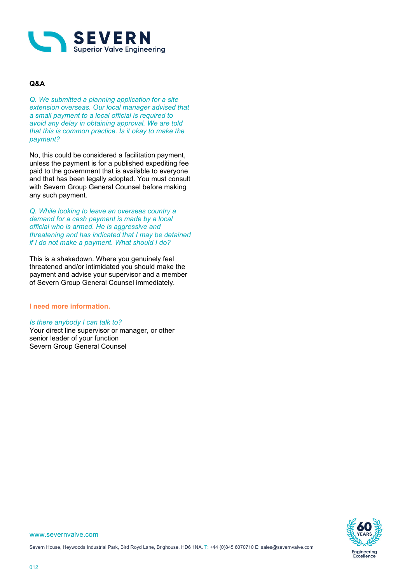

## **Q&A**

*Q. We submitted a planning application for a site extension overseas. Our local manager advised that a small payment to a local official is required to avoid any delay in obtaining approval. We are told that this is common practice. Is it okay to make the payment?*

No, this could be considered a facilitation payment, unless the payment is for a published expediting fee paid to the government that is available to everyone and that has been legally adopted. You must consult with Severn Group General Counsel before making any such payment.

*Q. While looking to leave an overseas country a demand for a cash payment is made by a local official who is armed. He is aggressive and threatening and has indicated that I may be detained if I do not make a payment. What should I do?*

This is a shakedown. Where you genuinely feel threatened and/or intimidated you should make the payment and advise your supervisor and a member of Severn Group General Counsel immediately.

### **I need more information.**

### *Is there anybody I can talk to?*

Your direct line supervisor or manager, or other senior leader of your function Severn Group General Counsel

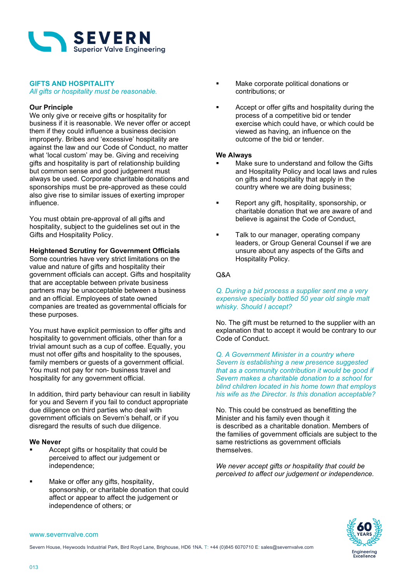

### **GIFTS AND HOSPITALITY**

*All gifts or hospitality must be reasonable.*

### **Our Principle**

We only give or receive gifts or hospitality for business if it is reasonable. We never offer or accept them if they could influence a business decision improperly. Bribes and 'excessive' hospitality are against the law and our Code of Conduct, no matter what 'local custom' may be. Giving and receiving gifts and hospitality is part of relationship building but common sense and good judgement must always be used. Corporate charitable donations and sponsorships must be pre-approved as these could also give rise to similar issues of exerting improper influence.

You must obtain pre-approval of all gifts and hospitality, subject to the guidelines set out in the Gifts and Hospitality Policy.

### **Heightened Scrutiny for Government Officials**

Some countries have very strict limitations on the value and nature of gifts and hospitality their government officials can accept. Gifts and hospitality that are acceptable between private business partners may be unacceptable between a business and an official. Employees of state owned companies are treated as governmental officials for these purposes.

You must have explicit permission to offer gifts and hospitality to government officials, other than for a trivial amount such as a cup of coffee. Equally, you must not offer gifts and hospitality to the spouses, family members or guests of a government official. You must not pay for non- business travel and hospitality for any government official.

In addition, third party behaviour can result in liability for you and Severn if you fail to conduct appropriate due diligence on third parties who deal with government officials on Severn's behalf, or if you disregard the results of such due diligence.

### **We Never**

- Accept gifts or hospitality that could be perceived to affect our judgement or independence;
- Make or offer any gifts, hospitality, sponsorship, or charitable donation that could affect or appear to affect the judgement or independence of others; or
- Make corporate political donations or contributions; or
- Accept or offer gifts and hospitality during the process of a competitive bid or tender exercise which could have, or which could be viewed as having, an influence on the outcome of the bid or tender.

### **We Always**

- Make sure to understand and follow the Gifts and Hospitality Policy and local laws and rules on gifts and hospitality that apply in the country where we are doing business;
- **Report any gift, hospitality, sponsorship, or** charitable donation that we are aware of and believe is against the Code of Conduct,
- **Talk to our manager, operating company** leaders, or Group General Counsel if we are unsure about any aspects of the Gifts and Hospitality Policy.

### Q&A

### *Q. During a bid process a supplier sent me a very expensive specially bottled 50 year old single malt whisky. Should I accept?*

No. The gift must be returned to the supplier with an explanation that to accept it would be contrary to our Code of Conduct.

*Q. A Government Minister in a country where Severn is establishing a new presence suggested that as a community contribution it would be good if Severn makes a charitable donation to a school for blind children located in his home town that employs his wife as the Director. Is this donation acceptable?*

No. This could be construed as benefitting the Minister and his family even though it is described as a charitable donation. Members of the families of government officials are subject to the same restrictions as government officials themselves.

*We never accept gifts or hospitality that could be perceived to affect our judgement or independence.*

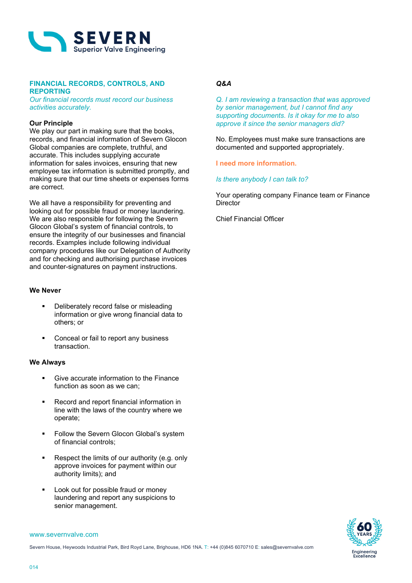

### **FINANCIAL RECORDS, CONTROLS, AND REPORTING**

*Our financial records must record our business activities accurately.* 

### **Our Principle**

We play our part in making sure that the books, records, and financial information of Severn Glocon Global companies are complete, truthful, and accurate. This includes supplying accurate information for sales invoices, ensuring that new employee tax information is submitted promptly, and making sure that our time sheets or expenses forms are correct.

We all have a responsibility for preventing and looking out for possible fraud or money laundering. We are also responsible for following the Severn Glocon Global's system of financial controls, to ensure the integrity of our businesses and financial records. Examples include following individual company procedures like our Delegation of Authority and for checking and authorising purchase invoices and counter-signatures on payment instructions.

### **We Never**

- Deliberately record false or misleading information or give wrong financial data to others; or
- Conceal or fail to report any business transaction.

## **We Always**

- Give accurate information to the Finance function as soon as we can;
- Record and report financial information in line with the laws of the country where we operate;
- **Follow the Severn Glocon Global's system** of financial controls;
- Respect the limits of our authority (e.g. only approve invoices for payment within our authority limits); and
- Look out for possible fraud or money laundering and report any suspicions to senior management.

### *Q&A*

*Q. I am reviewing a transaction that was approved by senior management, but I cannot find any supporting documents. Is it okay for me to also approve it since the senior managers did?*

No. Employees must make sure transactions are documented and supported appropriately.

### **I need more information.**

*Is there anybody I can talk to?*

Your operating company Finance team or Finance **Director** 

Chief Financial Officer

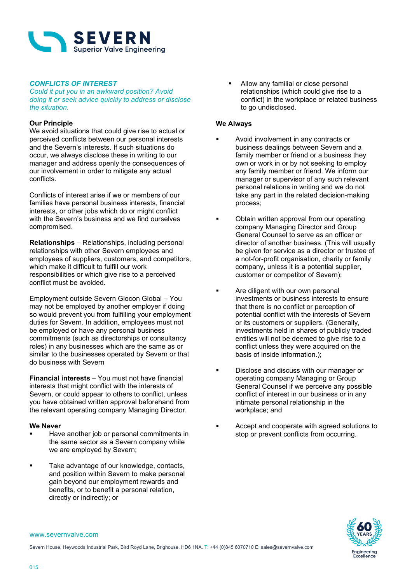

## *CONFLICTS OF INTEREST*

*Could it put you in an awkward position? Avoid doing it or seek advice quickly to address or disclose the situation.*

### **Our Principle**

We avoid situations that could give rise to actual or perceived conflicts between our personal interests and the Severn's interests. If such situations do occur, we always disclose these in writing to our manager and address openly the consequences of our involvement in order to mitigate any actual conflicts.

Conflicts of interest arise if we or members of our families have personal business interests, financial interests, or other jobs which do or might conflict with the Severn's business and we find ourselves compromised.

**Relationships** – Relationships, including personal relationships with other Severn employees and employees of suppliers, customers, and competitors, which make it difficult to fulfill our work responsibilities or which give rise to a perceived conflict must be avoided.

Employment outside Severn Glocon Global – You may not be employed by another employer if doing so would prevent you from fulfilling your employment duties for Severn. In addition, employees must not be employed or have any personal business commitments (such as directorships or consultancy roles) in any businesses which are the same as or similar to the businesses operated by Severn or that do business with Severn

**Financial interests** – You must not have financial interests that might conflict with the interests of Severn, or could appear to others to conflict, unless you have obtained written approval beforehand from the relevant operating company Managing Director.

### **We Never**

- Have another job or personal commitments in the same sector as a Severn company while we are employed by Severn;
- **Take advantage of our knowledge, contacts,** and position within Severn to make personal gain beyond our employment rewards and benefits, or to benefit a personal relation, directly or indirectly; or

 Allow any familial or close personal relationships (which could give rise to a conflict) in the workplace or related business to go undisclosed.

### **We Always**

- Avoid involvement in any contracts or business dealings between Severn and a family member or friend or a business they own or work in or by not seeking to employ any family member or friend. We inform our manager or supervisor of any such relevant personal relations in writing and we do not take any part in the related decision-making process;
- Obtain written approval from our operating company Managing Director and Group General Counsel to serve as an officer or director of another business. (This will usually be given for service as a director or trustee of a not-for-profit organisation, charity or family company, unless it is a potential supplier, customer or competitor of Severn);
- **EXECUTE:** Are diligent with our own personal investments or business interests to ensure that there is no conflict or perception of potential conflict with the interests of Severn or its customers or suppliers. (Generally, investments held in shares of publicly traded entities will not be deemed to give rise to a conflict unless they were acquired on the basis of inside information.);
- **Disclose and discuss with our manager or** operating company Managing or Group General Counsel if we perceive any possible conflict of interest in our business or in any intimate personal relationship in the workplace; and
- Accept and cooperate with agreed solutions to stop or prevent conflicts from occurring.



#### www.severnvalve.com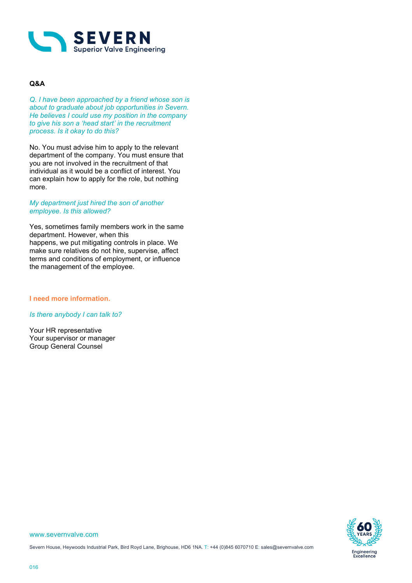

## **Q&A**

*Q. I have been approached by a friend whose son is about to graduate about job opportunities in Severn. He believes I could use my position in the company to give his son a 'head start' in the recruitment process. Is it okay to do this?* 

No. You must advise him to apply to the relevant department of the company. You must ensure that you are not involved in the recruitment of that individual as it would be a conflict of interest. You can explain how to apply for the role, but nothing more.

### *My department just hired the son of another employee. Is this allowed?*

Yes, sometimes family members work in the same department. However, when this happens, we put mitigating controls in place. We make sure relatives do not hire, supervise, affect terms and conditions of employment, or influence the management of the employee.

### **I need more information.**

### *Is there anybody I can talk to?*

Your HR representative Your supervisor or manager Group General Counsel

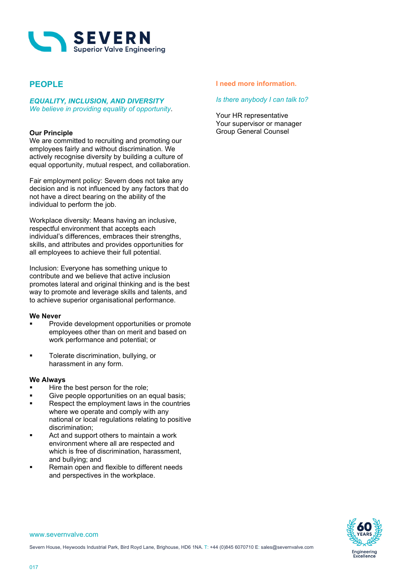

## **PEOPLE**

# *EQUALITY, INCLUSION, AND DIVERSITY*

*We believe in providing equality of opportunity*.

## **Our Principle**

We are committed to recruiting and promoting our employees fairly and without discrimination. We actively recognise diversity by building a culture of equal opportunity, mutual respect, and collaboration.

Fair employment policy: Severn does not take any decision and is not influenced by any factors that do not have a direct bearing on the ability of the individual to perform the job.

Workplace diversity: Means having an inclusive, respectful environment that accepts each individual's differences, embraces their strengths, skills, and attributes and provides opportunities for all employees to achieve their full potential.

Inclusion: Everyone has something unique to contribute and we believe that active inclusion promotes lateral and original thinking and is the best way to promote and leverage skills and talents, and to achieve superior organisational performance.

### **We Never**

- Provide development opportunities or promote employees other than on merit and based on work performance and potential; or
- **Tolerate discrimination, bullying, or** harassment in any form.

### **We Always**

- Hire the best person for the role;
- Give people opportunities on an equal basis;
- **Respect the employment laws in the countries** where we operate and comply with any national or local regulations relating to positive discrimination;
- Act and support others to maintain a work environment where all are respected and which is free of discrimination, harassment, and bullying; and
- Remain open and flexible to different needs and perspectives in the workplace.

### **I need more information.**

### *Is there anybody I can talk to?*

Your HR representative Your supervisor or manager Group General Counsel

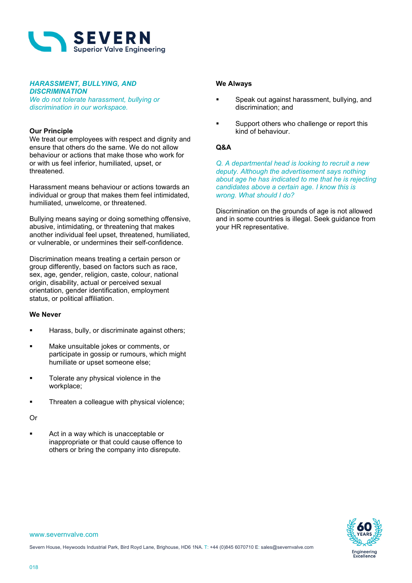

### *HARASSMENT, BULLYING, AND DISCRIMINATION*

*We do not tolerate harassment, bullying or discrimination in our workspace.*

### **Our Principle**

We treat our employees with respect and dignity and ensure that others do the same. We do not allow behaviour or actions that make those who work for or with us feel inferior, humiliated, upset, or threatened.

Harassment means behaviour or actions towards an individual or group that makes them feel intimidated. humiliated, unwelcome, or threatened.

Bullying means saying or doing something offensive, abusive, intimidating, or threatening that makes another individual feel upset, threatened, humiliated, or vulnerable, or undermines their self-confidence.

Discrimination means treating a certain person or group differently, based on factors such as race, sex, age, gender, religion, caste, colour, national origin, disability, actual or perceived sexual orientation, gender identification, employment status, or political affiliation.

### **We Never**

- Harass, bully, or discriminate against others;
- Make unsuitable jokes or comments, or participate in gossip or rumours, which might humiliate or upset someone else;
- **Tolerate any physical violence in the** workplace;
- **Threaten a colleague with physical violence;**

### Or

**Act in a way which is unacceptable or** inappropriate or that could cause offence to others or bring the company into disrepute.

### **We Always**

- Speak out against harassment, bullying, and discrimination; and
- Support others who challenge or report this kind of behaviour.

## **Q&A**

*Q. A departmental head is looking to recruit a new deputy. Although the advertisement says nothing about age he has indicated to me that he is rejecting candidates above a certain age. I know this is wrong. What should I do?*

Discrimination on the grounds of age is not allowed and in some countries is illegal. Seek guidance from your HR representative.

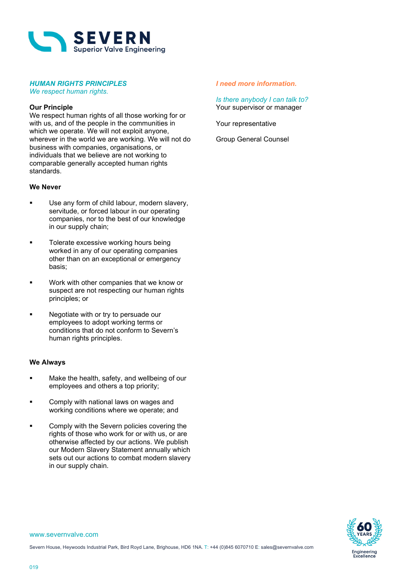

## *HUMAN RIGHTS PRINCIPLES*

*We respect human rights.*

### **Our Principle**

We respect human rights of all those working for or with us, and of the people in the communities in which we operate. We will not exploit anyone, wherever in the world we are working. We will not do business with companies, organisations, or individuals that we believe are not working to comparable generally accepted human rights standards.

### **We Never**

- Use any form of child labour, modern slavery, servitude, or forced labour in our operating companies, nor to the best of our knowledge in our supply chain;
- **Tolerate excessive working hours being** worked in any of our operating companies other than on an exceptional or emergency basis;
- **Work with other companies that we know or** suspect are not respecting our human rights principles; or
- **Negotiate with or try to persuade our** employees to adopt working terms or conditions that do not conform to Severn's human rights principles.

### **We Always**

- **Make the health, safety, and wellbeing of our** employees and others a top priority;
- **EXECOMPLE COMPLA** Comply with national laws on wages and working conditions where we operate; and
- Comply with the Severn policies covering the rights of those who work for or with us, or are otherwise affected by our actions. We publish our Modern Slavery Statement annually which sets out our actions to combat modern slavery in our supply chain.

### *I need more information.*

*Is there anybody I can talk to?* Your supervisor or manager

Your representative

Group General Counsel

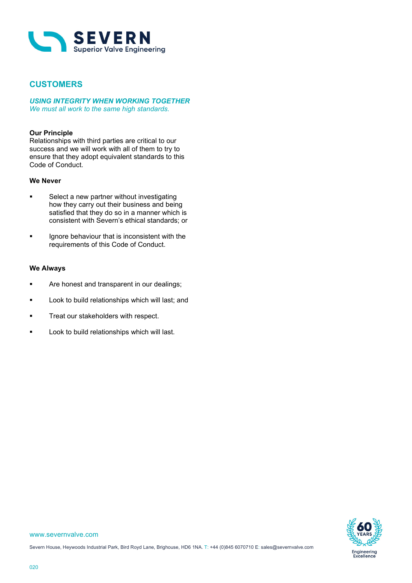

## **CUSTOMERS**

*USING INTEGRITY WHEN WORKING TOGETHER We must all work to the same high standards.*

## **Our Principle**

Relationships with third parties are critical to our success and we will work with all of them to try to ensure that they adopt equivalent standards to this Code of Conduct.

### **We Never**

- **Select a new partner without investigating** how they carry out their business and being satisfied that they do so in a manner which is consistent with Severn's ethical standards; or
- **If** Ignore behaviour that is inconsistent with the requirements of this Code of Conduct.

### **We Always**

- **Are honest and transparent in our dealings;**
- **Look to build relationships which will last; and**
- **Treat our stakeholders with respect.**
- **Look to build relationships which will last.**

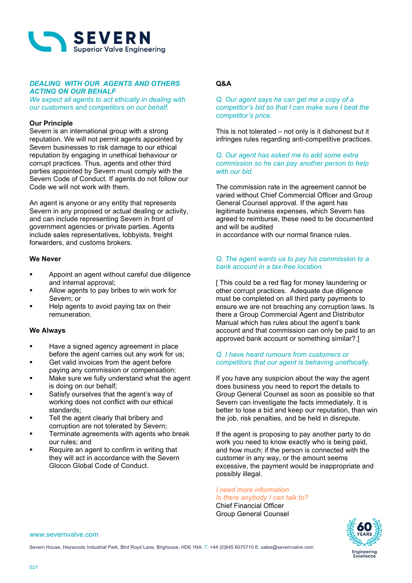

### *DEALING WITH OUR AGENTS AND OTHERS ACTING ON OUR BEHALF*

*We expect all agents to act ethically in dealing with our customers and competitors on our behalf.*

### **Our Principle**

Severn is an international group with a strong reputation. We will not permit agents appointed by Severn businesses to risk damage to our ethical reputation by engaging in unethical behaviour or corrupt practices. Thus, agents and other third parties appointed by Severn must comply with the Severn Code of Conduct. If agents do not follow our Code we will not work with them.

An agent is anyone or any entity that represents Severn in any proposed or actual dealing or activity, and can include representing Severn in front of government agencies or private parties. Agents include sales representatives, lobbyists, freight forwarders, and customs brokers.

### **We Never**

- Appoint an agent without careful due diligence and internal approval;
- Allow agents to pay bribes to win work for Severn; or
- Help agents to avoid paying tax on their remuneration.

### **We Always**

- Have a signed agency agreement in place before the agent carries out any work for us;
- Get valid invoices from the agent before paying any commission or compensation;
- Make sure we fully understand what the agent is doing on our behalf;
- Satisfy ourselves that the agent's way of working does not conflict with our ethical standards;
- Tell the agent clearly that bribery and corruption are not tolerated by Severn;
- Terminate agreements with agents who break our rules; and
- Require an agent to confirm in writing that they will act in accordance with the Severn Glocon Global Code of Conduct.

## **Q&A**

*Q. Our agent says he can get me a copy of a competitor's bid so that I can make sure I beat the competitor's price.*

This is not tolerated – not only is it dishonest but it infringes rules regarding anti-competitive practices.

*Q. Our agent has asked me to add some extra commission so he can pay another person to help with our bid.*

The commission rate in the agreement cannot be varied without Chief Commercial Officer and Group General Counsel approval. If the agent has legitimate business expenses, which Severn has agreed to reimburse, these need to be documented and will be audited in accordance with our normal finance rules.

*Q. The agent wants us to pay his commission to a bank account in a tax-free location.*

[ This could be a red flag for money laundering or other corrupt practices. Adequate due diligence must be completed on all third party payments to ensure we are not breaching any corruption laws. Is there a Group Commercial Agent and Distributor Manual which has rules about the agent's bank account and that commission can only be paid to an approved bank account or something similar?.]

### *Q. I have heard rumours from customers or competitors that our agent is behaving unethically.*

If you have any suspicion about the way the agent does business you need to report the details to Group General Counsel as soon as possible so that Severn can investigate the facts immediately. It is better to lose a bid and keep our reputation, than win the job, risk penalties, and be held in disrepute.

If the agent is proposing to pay another party to do work you need to know exactly who is being paid, and how much; if the person is connected with the customer in any way, or the amount seems excessive, the payment would be inappropriate and possibly illegal.

*I need more information Is there anybody I can talk to?* Chief Financial Officer

Group General Counsel



www.severnvalve.com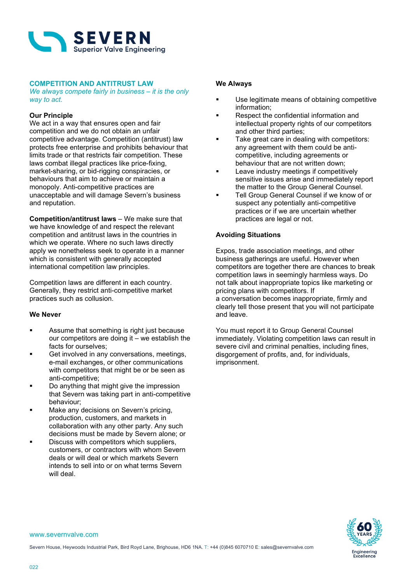

### **COMPETITION AND ANTITRUST LAW**

*We always compete fairly in business – it is the only way to act.*

### **Our Principle**

We act in a way that ensures open and fair competition and we do not obtain an unfair competitive advantage. Competition (antitrust) law protects free enterprise and prohibits behaviour that limits trade or that restricts fair competition. These laws combat illegal practices like price-fixing, market-sharing, or bid-rigging conspiracies, or behaviours that aim to achieve or maintain a monopoly. Anti-competitive practices are unacceptable and will damage Severn's business and reputation.

**Competition/antitrust laws** – We make sure that we have knowledge of and respect the relevant competition and antitrust laws in the countries in which we operate. Where no such laws directly apply we nonetheless seek to operate in a manner which is consistent with generally accepted international competition law principles.

Competition laws are different in each country. Generally, they restrict anti-competitive market practices such as collusion.

### **We Never**

- **EXECUTE:** Assume that something is right just because our competitors are doing it – we establish the facts for ourselves;
- Get involved in any conversations, meetings, e-mail exchanges, or other communications with competitors that might be or be seen as anti-competitive;
- **•** Do anything that might give the impression that Severn was taking part in anti-competitive behaviour;
- Make any decisions on Severn's pricing, production, customers, and markets in collaboration with any other party. Any such decisions must be made by Severn alone; or
- Discuss with competitors which suppliers, customers, or contractors with whom Severn deals or will deal or which markets Severn intends to sell into or on what terms Severn will deal.

### **We Always**

- Use legitimate means of obtaining competitive information;
- Respect the confidential information and intellectual property rights of our competitors and other third parties;
- Take great care in dealing with competitors: any agreement with them could be anticompetitive, including agreements or behaviour that are not written down;
- Leave industry meetings if competitively sensitive issues arise and immediately report the matter to the Group General Counsel.
- Tell Group General Counsel if we know of or suspect any potentially anti-competitive practices or if we are uncertain whether practices are legal or not.

### **Avoiding Situations**

Expos, trade association meetings, and other business gatherings are useful. However when competitors are together there are chances to break competition laws in seemingly harmless ways. Do not talk about inappropriate topics like marketing or pricing plans with competitors. If a conversation becomes inappropriate, firmly and clearly tell those present that you will not participate and leave.

You must report it to Group General Counsel immediately. Violating competition laws can result in severe civil and criminal penalties, including fines, disgorgement of profits, and, for individuals, imprisonment.

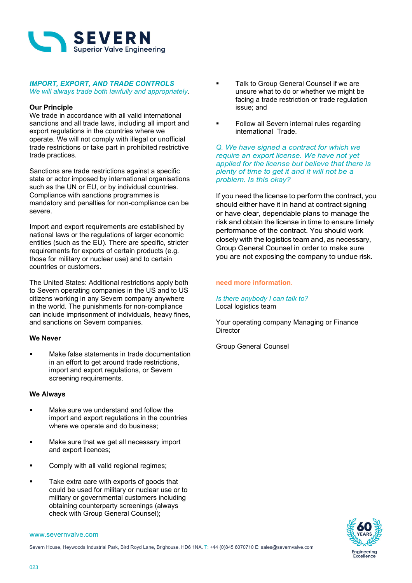

### *IMPORT, EXPORT, AND TRADE CONTROLS We will always trade both lawfully and appropriately.*

### **Our Principle**

We trade in accordance with all valid international sanctions and all trade laws, including all import and export regulations in the countries where we operate. We will not comply with illegal or unofficial trade restrictions or take part in prohibited restrictive trade practices.

Sanctions are trade restrictions against a specific state or actor imposed by international organisations such as the UN or EU, or by individual countries. Compliance with sanctions programmes is mandatory and penalties for non-compliance can be severe.

Import and export requirements are established by national laws or the regulations of larger economic entities (such as the EU). There are specific, stricter requirements for exports of certain products (e.g. those for military or nuclear use) and to certain countries or customers.

The United States: Additional restrictions apply both to Severn operating companies in the US and to US citizens working in any Severn company anywhere in the world. The punishments for non-compliance can include imprisonment of individuals, heavy fines, and sanctions on Severn companies.

### **We Never**

 Make false statements in trade documentation in an effort to get around trade restrictions, import and export regulations, or Severn screening requirements.

### **We Always**

- **Make sure we understand and follow the** import and export regulations in the countries where we operate and do business;
- Make sure that we get all necessary import and export licences;
- Comply with all valid regional regimes;
- Take extra care with exports of goods that could be used for military or nuclear use or to military or governmental customers including obtaining counterparty screenings (always check with Group General Counsel);
- www.severnvalve.com
- Severn House, Heywoods Industrial Park, Bird Royd Lane, Brighouse, HD6 1NA. T: +44 (0)845 6070710 E: sales@severnvalve.com
- Talk to Group General Counsel if we are unsure what to do or whether we might be facing a trade restriction or trade regulation issue; and
- Follow all Severn internal rules regarding international Trade.

*Q. We have signed a contract for which we require an export license. We have not yet applied for the license but believe that there is plenty of time to get it and it will not be a problem. Is this okay?*

If you need the license to perform the contract, you should either have it in hand at contract signing or have clear, dependable plans to manage the risk and obtain the license in time to ensure timely performance of the contract. You should work closely with the logistics team and, as necessary, Group General Counsel in order to make sure you are not exposing the company to undue risk.

### **need more information.**

*Is there anybody I can talk to?* Local logistics team

Your operating company Managing or Finance **Director** 

Group General Counsel

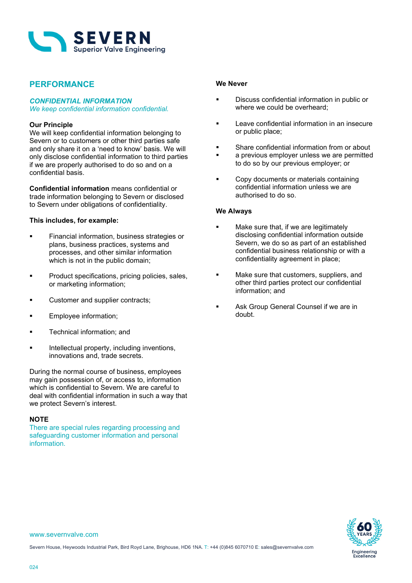

## **PERFORMANCE**

## *CONFIDENTIAL INFORMATION*

*We keep confidential information confidential.*

### **Our Principle**

We will keep confidential information belonging to Severn or to customers or other third parties safe and only share it on a 'need to know' basis. We will only disclose confidential information to third parties if we are properly authorised to do so and on a confidential basis.

**Confidential information** means confidential or trade information belonging to Severn or disclosed to Severn under obligations of confidentiality.

### **This includes, for example:**

- **Financial information, business strategies or** plans, business practices, systems and processes, and other similar information which is not in the public domain;
- **Product specifications, pricing policies, sales,** or marketing information;
- **Customer and supplier contracts;**
- **Employee information;**
- **Technical information; and**
- Intellectual property, including inventions, innovations and, trade secrets.

During the normal course of business, employees may gain possession of, or access to, information which is confidential to Severn. We are careful to deal with confidential information in such a way that we protect Severn's interest.

### **NOTE**

There are special rules regarding processing and safeguarding customer information and personal information.

### **We Never**

- Discuss confidential information in public or where we could be overheard;
- **Leave confidential information in an insecure** or public place;
- Share confidential information from or about
- a previous employer unless we are permitted to do so by our previous employer; or
- Copy documents or materials containing confidential information unless we are authorised to do so.

### **We Always**

- Make sure that, if we are legitimately disclosing confidential information outside Severn, we do so as part of an established confidential business relationship or with a confidentiality agreement in place;
- **Make sure that customers, suppliers, and** other third parties protect our confidential information; and
- **Ask Group General Counsel if we are in** doubt.



www.severnvalve.com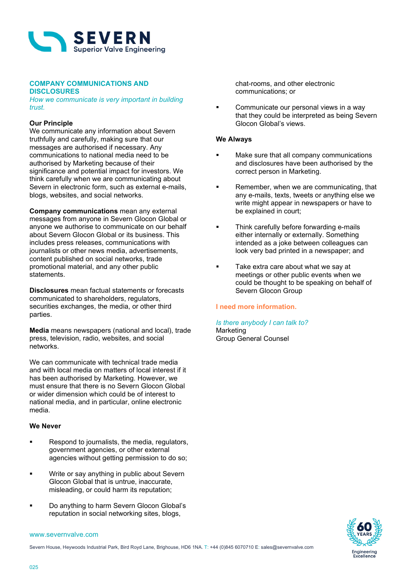

## **COMPANY COMMUNICATIONS AND**

### **DISCLOSURES**

*How we communicate is very important in building trust.*

### **Our Principle**

We communicate any information about Severn truthfully and carefully, making sure that our messages are authorised if necessary. Any communications to national media need to be authorised by Marketing because of their significance and potential impact for investors. We think carefully when we are communicating about Severn in electronic form, such as external e-mails, blogs, websites, and social networks.

**Company communications** mean any external messages from anyone in Severn Glocon Global or anyone we authorise to communicate on our behalf about Severn Glocon Global or its business. This includes press releases, communications with journalists or other news media, advertisements, content published on social networks, trade promotional material, and any other public statements.

**Disclosures** mean factual statements or forecasts communicated to shareholders, regulators, securities exchanges, the media, or other third parties.

**Media** means newspapers (national and local), trade press, television, radio, websites, and social networks.

We can communicate with technical trade media and with local media on matters of local interest if it has been authorised by Marketing. However, we must ensure that there is no Severn Glocon Global or wider dimension which could be of interest to national media, and in particular, online electronic media.

### **We Never**

- **Respond to journalists, the media, regulators,** government agencies, or other external agencies without getting permission to do so;
- Write or say anything in public about Severn Glocon Global that is untrue, inaccurate, misleading, or could harm its reputation;
- Do anything to harm Severn Glocon Global's reputation in social networking sites, blogs,

chat-rooms, and other electronic communications; or

 Communicate our personal views in a way that they could be interpreted as being Severn Glocon Global's views.

### **We Always**

- Make sure that all company communications and disclosures have been authorised by the correct person in Marketing.
- Remember, when we are communicating, that any e-mails, texts, tweets or anything else we write might appear in newspapers or have to be explained in court;
- **Think carefully before forwarding e-mails** either internally or externally. Something intended as a joke between colleagues can look very bad printed in a newspaper; and
- Take extra care about what we say at meetings or other public events when we could be thought to be speaking on behalf of Severn Glocon Group

### **I need more information.**

### *Is there anybody I can talk to?* Marketing Group General Counsel



#### www.severnvalve.com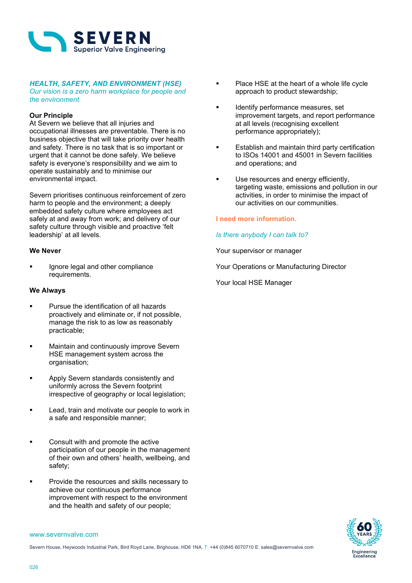

## *HEALTH, SAFETY, AND ENVIRONMENT (HSE)*

*Our vision is a zero harm workplace for people and the environment.*

### **Our Principle**

At Severn we believe that all injuries and occupational illnesses are preventable. There is no business objective that will take priority over health and safety. There is no task that is so important or urgent that it cannot be done safely. We believe safety is everyone's responsibility and we aim to operate sustainably and to minimise our environmental impact.

Severn prioritises continuous reinforcement of zero harm to people and the environment; a deeply embedded safety culture where employees act safely at and away from work; and delivery of our safety culture through visible and proactive 'felt leadership' at all levels.

### **We Never**

 Ignore legal and other compliance requirements.

### **We Always**

- **Pursue the identification of all hazards** proactively and eliminate or, if not possible, manage the risk to as low as reasonably practicable;
- **Maintain and continuously improve Severn** HSE management system across the organisation;
- **Apply Severn standards consistently and** uniformly across the Severn footprint irrespective of geography or local legislation;
- **Lead, train and motivate our people to work in** a safe and responsible manner;
- **EXECONSULTE CONSULTE IN A CONSULTE 1** Consult with and promote the active participation of our people in the management of their own and others' health, wellbeing, and safety;
- Provide the resources and skills necessary to achieve our continuous performance improvement with respect to the environment and the health and safety of our people;
- Place HSE at the heart of a whole life cycle approach to product stewardship;
- Identify performance measures, set improvement targets, and report performance at all levels (recognising excellent performance appropriately);
- Establish and maintain third party certification to ISOs 14001 and 45001 in Severn facilities and operations; and
- Use resources and energy efficiently, targeting waste, emissions and pollution in our activities, in order to minimise the impact of our activities on our communities.

### **I need more information.**

### *Is there anybody I can talk to?*

Your supervisor or manager

Your Operations or Manufacturing Director

Your local HSE Manager

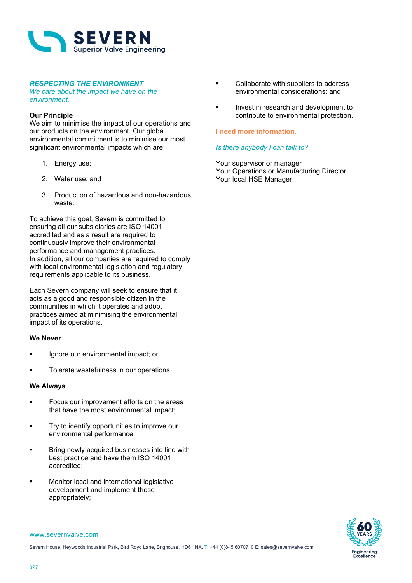

### *RESPECTING THE ENVIRONMENT*

*We care about the impact we have on the environment.*

### **Our Principle**

We aim to minimise the impact of our operations and our products on the environment. Our global environmental commitment is to minimise our most significant environmental impacts which are:

- 1. Energy use;
- 2. Water use; and
- 3. Production of hazardous and non-hazardous waste.

To achieve this goal, Severn is committed to ensuring all our subsidiaries are ISO 14001 accredited and as a result are required to continuously improve their environmental performance and management practices. In addition, all our companies are required to comply with local environmental legislation and regulatory requirements applicable to its business.

Each Severn company will seek to ensure that it acts as a good and responsible citizen in the communities in which it operates and adopt practices aimed at minimising the environmental impact of its operations.

### **We Never**

- Ignore our environmental impact; or
- **Tolerate wastefulness in our operations.**

### **We Always**

- **Focus our improvement efforts on the areas** that have the most environmental impact;
- Try to identify opportunities to improve our environmental performance;
- Bring newly acquired businesses into line with best practice and have them ISO 14001 accredited;
- Monitor local and international legislative development and implement these appropriately;
- Collaborate with suppliers to address environmental considerations; and
- Invest in research and development to contribute to environmental protection.

### **I need more information.**

### *Is there anybody I can talk to?*

Your supervisor or manager Your Operations or Manufacturing Director Your local HSE Manager

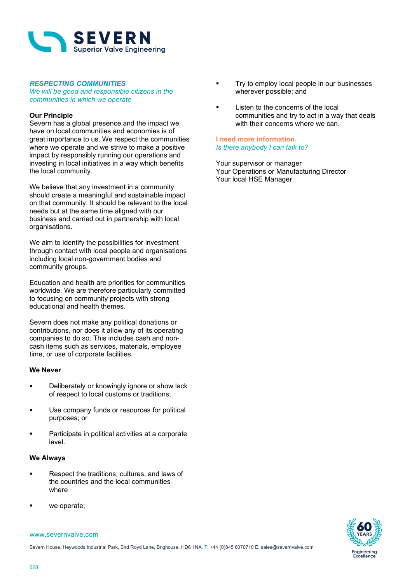

### *RESPECTING COMMUNITIES*

*We will be good and responsible citizens in the communities in which we operate*

### **Our Principle**

Severn has a global presence and the impact we have on local communities and economies is of great importance to us. We respect the communities where we operate and we strive to make a positive impact by responsibly running our operations and investing in local initiatives in a way which benefits the local community.

We believe that any investment in a community should create a meaningful and sustainable impact on that community. It should be relevant to the local needs but at the same time aligned with our business and carried out in partnership with local organisations.

We aim to identify the possibilities for investment through contact with local people and organisations including local non-government bodies and community groups.

Education and health are priorities for communities worldwide. We are therefore particularly committed to focusing on community projects with strong educational and health themes.

Severn does not make any political donations or contributions, nor does it allow any of its operating companies to do so. This includes cash and noncash items such as services, materials, employee time, or use of corporate facilities.

### **We Never**

- **Deliberately or knowingly ignore or show lack** of respect to local customs or traditions;
- Use company funds or resources for political purposes; or
- Participate in political activities at a corporate level.

### **We Always**

- Respect the traditions, cultures, and laws of the countries and the local communities where
- we operate;

## Try to employ local people in our businesses wherever possible; and

 Listen to the concerns of the local communities and try to act in a way that deals with their concerns where we can.

### **I need more information.** *Is there anybody I can talk to?*

Your supervisor or manager Your Operations or Manufacturing Director Your local HSE Manager

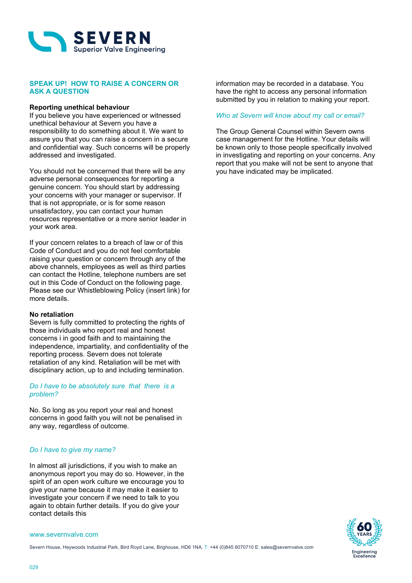

### **SPEAK UP! HOW TO RAISE A CONCERN OR ASK A QUESTION**

### **Reporting unethical behaviour**

If you believe you have experienced or witnessed unethical behaviour at Severn you have a responsibility to do something about it. We want to assure you that you can raise a concern in a secure and confidential way. Such concerns will be properly addressed and investigated.

You should not be concerned that there will be any adverse personal consequences for reporting a genuine concern. You should start by addressing your concerns with your manager or supervisor. If that is not appropriate, or is for some reason unsatisfactory, you can contact your human resources representative or a more senior leader in your work area.

If your concern relates to a breach of law or of this Code of Conduct and you do not feel comfortable raising your question or concern through any of the above channels, employees as well as third parties can contact the Hotline, telephone numbers are set out in this Code of Conduct on the following page. Please see our Whistleblowing Policy (insert link) for more details.

#### **No retaliation**

Severn is fully committed to protecting the rights of those individuals who report real and honest concerns i in good faith and to maintaining the independence, impartiality, and confidentiality of the reporting process. Severn does not tolerate retaliation of any kind. Retaliation will be met with disciplinary action, up to and including termination.

### *Do I have to be absolutely sure that there is a problem?*

No. So long as you report your real and honest concerns in good faith you will not be penalised in any way, regardless of outcome.

### *Do I have to give my name?*

In almost all jurisdictions, if you wish to make an anonymous report you may do so. However, in the spirit of an open work culture we encourage you to give your name because it may make it easier to investigate your concern if we need to talk to you again to obtain further details. If you do give your contact details this

#### www.severnvalve.com

Severn House, Heywoods Industrial Park, Bird Royd Lane, Brighouse, HD6 1NA. T: +44 (0)845 6070710 E: sales@severnvalve.com

information may be recorded in a database. You have the right to access any personal information submitted by you in relation to making your report.

### *Who at Severn will know about my call or email?*

The Group General Counsel within Severn owns case management for the Hotline. Your details will be known only to those people specifically involved in investigating and reporting on your concerns. Any report that you make will not be sent to anyone that you have indicated may be implicated.